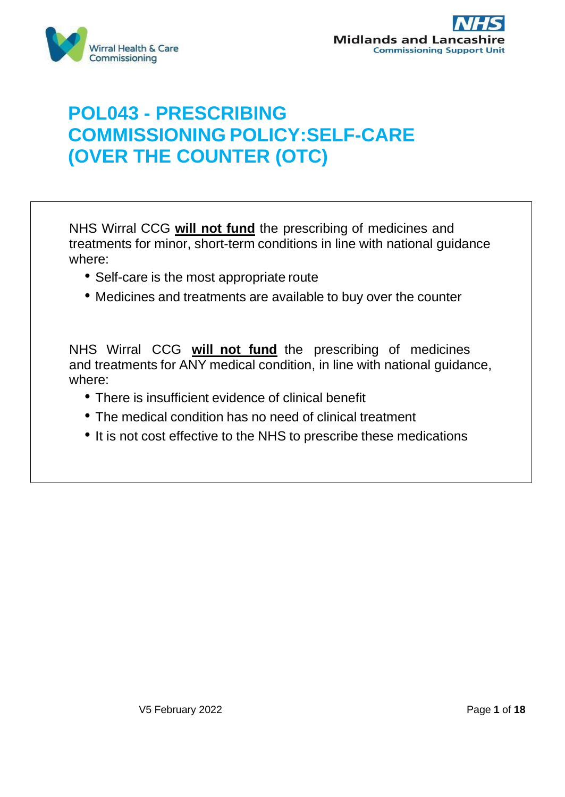

## **POL043 - PRESCRIBING COMMISSIONING POLICY:SELF-CARE (OVER THE COUNTER (OTC)**

NHS Wirral CCG **will not fund** the prescribing of medicines and treatments for minor, short-term conditions in line with national guidance where:

- Self-care is the most appropriate route
- Medicines and treatments are available to buy over the counter

NHS Wirral CCG **will not fund** the prescribing of medicines and treatments for ANY medical condition, in line with national guidance, where:

- There is insufficient evidence of clinical benefit
- The medical condition has no need of clinical treatment
- It is not cost effective to the NHS to prescribe these medications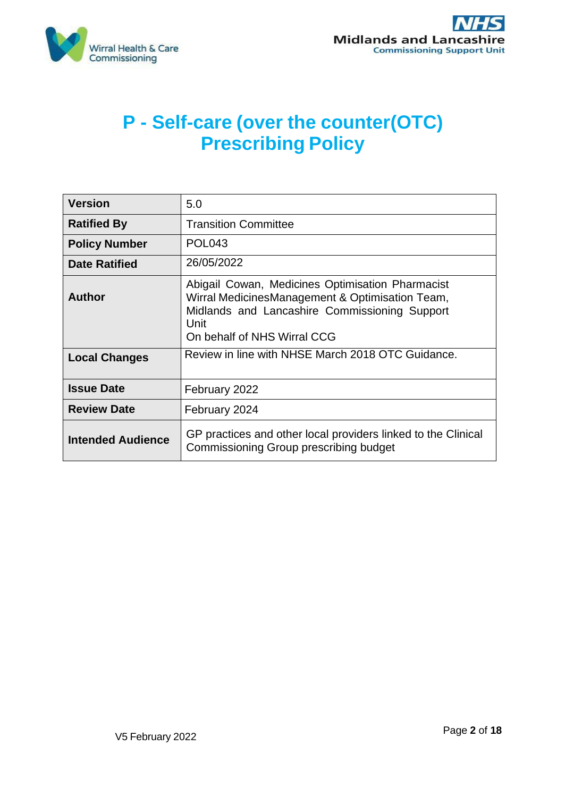

## **P - Self-care (over the counter(OTC) Prescribing Policy**

| <b>Version</b>           | 5.0                                                                                                                                                                                         |
|--------------------------|---------------------------------------------------------------------------------------------------------------------------------------------------------------------------------------------|
| <b>Ratified By</b>       | <b>Transition Committee</b>                                                                                                                                                                 |
| <b>Policy Number</b>     | <b>POL043</b>                                                                                                                                                                               |
| <b>Date Ratified</b>     | 26/05/2022                                                                                                                                                                                  |
| Author                   | Abigail Cowan, Medicines Optimisation Pharmacist<br>Wirral MedicinesManagement & Optimisation Team,<br>Midlands and Lancashire Commissioning Support<br>Unit<br>On behalf of NHS Wirral CCG |
| <b>Local Changes</b>     | Review in line with NHSE March 2018 OTC Guidance.                                                                                                                                           |
| <b>Issue Date</b>        | February 2022                                                                                                                                                                               |
| <b>Review Date</b>       | February 2024                                                                                                                                                                               |
| <b>Intended Audience</b> | GP practices and other local providers linked to the Clinical<br>Commissioning Group prescribing budget                                                                                     |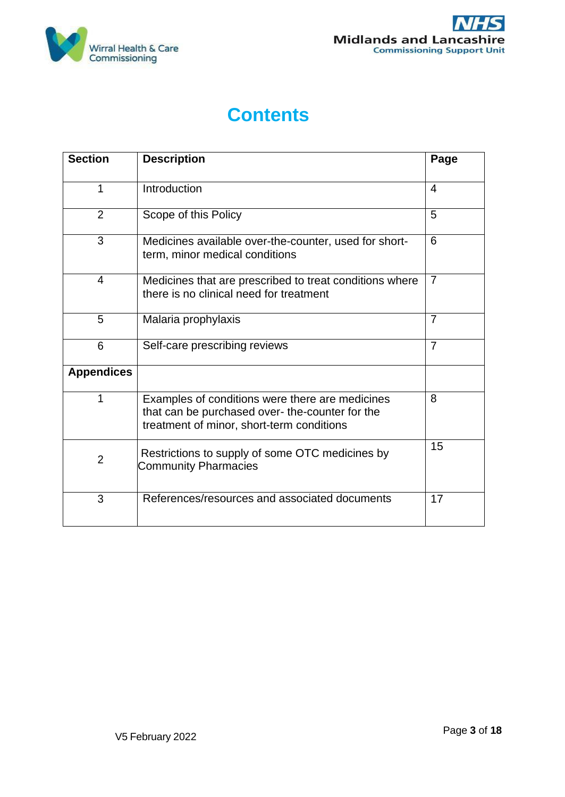



## **Contents**

| <b>Section</b>    | <b>Description</b>                                                                                                                              | Page                    |
|-------------------|-------------------------------------------------------------------------------------------------------------------------------------------------|-------------------------|
| $\mathbf 1$       | Introduction                                                                                                                                    | $\overline{\mathbf{4}}$ |
| $\overline{2}$    | Scope of this Policy                                                                                                                            | 5                       |
| 3                 | Medicines available over-the-counter, used for short-<br>term, minor medical conditions                                                         | 6                       |
| 4                 | Medicines that are prescribed to treat conditions where<br>there is no clinical need for treatment                                              | $\overline{7}$          |
| 5                 | Malaria prophylaxis                                                                                                                             | $\overline{7}$          |
| 6                 | Self-care prescribing reviews                                                                                                                   | $\overline{7}$          |
| <b>Appendices</b> |                                                                                                                                                 |                         |
| 1                 | Examples of conditions were there are medicines<br>that can be purchased over- the-counter for the<br>treatment of minor, short-term conditions | 8                       |
| $\overline{2}$    | Restrictions to supply of some OTC medicines by<br><b>Community Pharmacies</b>                                                                  | 15                      |
| 3                 | References/resources and associated documents                                                                                                   | 17                      |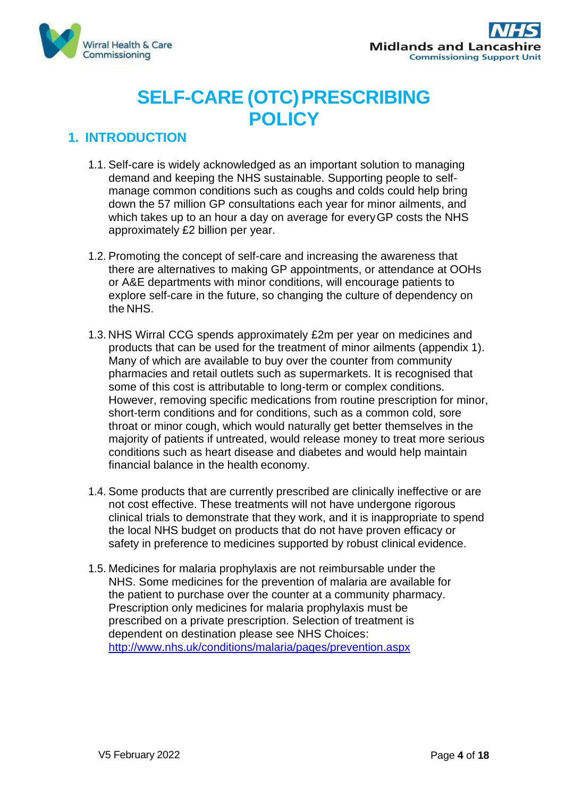



# **SELF-CARE (OTC)PRESCRIBING POLICY**

## **1. INTRODUCTION**

- 1.1. Self-care is widely acknowledged as an important solution to managing demand and keeping the NHS sustainable. Supporting people to selfmanage common conditions such as coughs and colds could help bring down the 57 million GP consultations each year for minor ailments, and which takes up to an hour a day on average for everyGP costs the NHS approximately £2 billion per year.
- 1.2. Promoting the concept of self-care and increasing the awareness that there are alternatives to making GP appointments, or attendance at OOHs or A&E departments with minor conditions, will encourage patients to explore self-care in the future, so changing the culture of dependency on the NHS.
- 1.3. NHS Wirral CCG spends approximately £2m per year on medicines and products that can be used for the treatment of minor ailments (appendix 1). Many of which are available to buy over the counter from community pharmacies and retail outlets such as supermarkets. It is recognised that some of this cost is attributable to long-term or complex conditions. However, removing specific medications from routine prescription for minor, short-term conditions and for conditions, such as a common cold, sore throat or minor cough, which would naturally get better themselves in the majority of patients if untreated, would release money to treat more serious conditions such as heart disease and diabetes and would help maintain financial balance in the health economy.
- 1.4. Some products that are currently prescribed are clinically ineffective or are not cost effective. These treatments will not have undergone rigorous clinical trials to demonstrate that they work, and it is inappropriate to spend the local NHS budget on products that do not have proven efficacy or safety in preference to medicines supported by robust clinical evidence.
- 1.5. Medicines for malaria prophylaxis are not reimbursable under the NHS. Some medicines for the prevention of malaria are available for the patient to purchase over the counter at a community pharmacy. Prescription only medicines for malaria prophylaxis must be prescribed on a private prescription. Selection of treatment is dependent on destination please see NHS Choices: <http://www.nhs.uk/conditions/malaria/pages/prevention.aspx>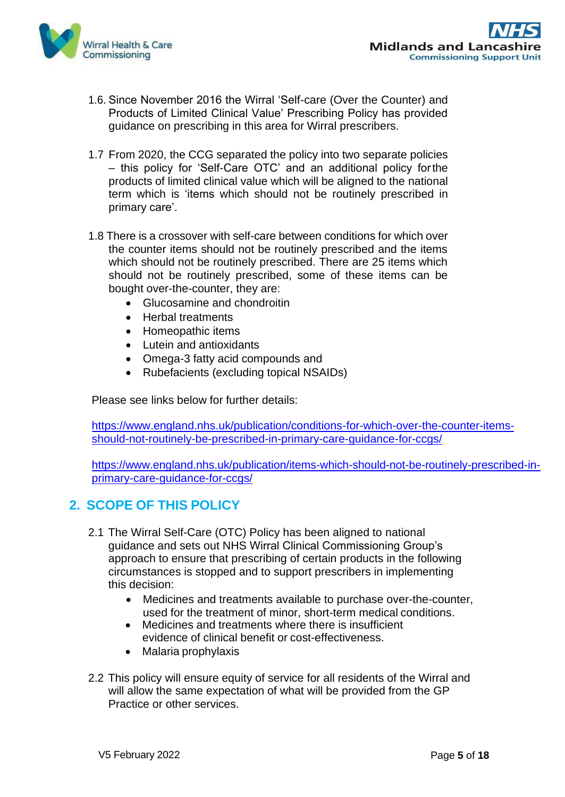



- 1.6. Since November 2016 the Wirral 'Self-care (Over the Counter) and Products of Limited Clinical Value' Prescribing Policy has provided guidance on prescribing in this area for Wirral prescribers.
- 1.7 From 2020, the CCG separated the policy into two separate policies – this policy for 'Self-Care OTC' and an additional policy forthe products of limited clinical value which will be aligned to the national term which is 'items which should not be routinely prescribed in primary care'.
- 1.8 There is a crossover with self-care between conditions for which over the counter items should not be routinely prescribed and the items which should not be routinely prescribed. There are 25 items which should not be routinely prescribed, some of these items can be bought over-the-counter, they are:
	- Glucosamine and chondroitin
	- Herbal treatments
	- Homeopathic items
	- Lutein and antioxidants
	- Omega-3 fatty acid compounds and
	- Rubefacients (excluding topical NSAIDs)

Please see links below for further details:

[https://www.england.nhs.uk/publication/conditions-for-which-over-the-counter-items](https://www.england.nhs.uk/publication/conditions-for-which-over-the-counter-items-should-not-routinely-be-prescribed-in-primary-care-guidance-for-ccgs/)[should-not-routinely-be-prescribed-in-primary-care-guidance-for-ccgs/](https://www.england.nhs.uk/publication/conditions-for-which-over-the-counter-items-should-not-routinely-be-prescribed-in-primary-care-guidance-for-ccgs/)

[https://www.england.nhs.uk/publication/items-which-should-not-be-routinely-prescribed-in](https://www.england.nhs.uk/publication/items-which-should-not-be-routinely-prescribed-in-primary-care-guidance-for-ccgs/)[primary-care-guidance-for-ccgs/](https://www.england.nhs.uk/publication/items-which-should-not-be-routinely-prescribed-in-primary-care-guidance-for-ccgs/)

## **2. SCOPE OF THIS POLICY**

- 2.1 The Wirral Self-Care (OTC) Policy has been aligned to national guidance and sets out NHS Wirral Clinical Commissioning Group's approach to ensure that prescribing of certain products in the following circumstances is stopped and to support prescribers in implementing this decision:
	- Medicines and treatments available to purchase over-the-counter, used for the treatment of minor, short-term medical conditions.
	- Medicines and treatments where there is insufficient evidence of clinical benefit or cost-effectiveness.
	- Malaria prophylaxis
- 2.2 This policy will ensure equity of service for all residents of the Wirral and will allow the same expectation of what will be provided from the GP Practice or other services.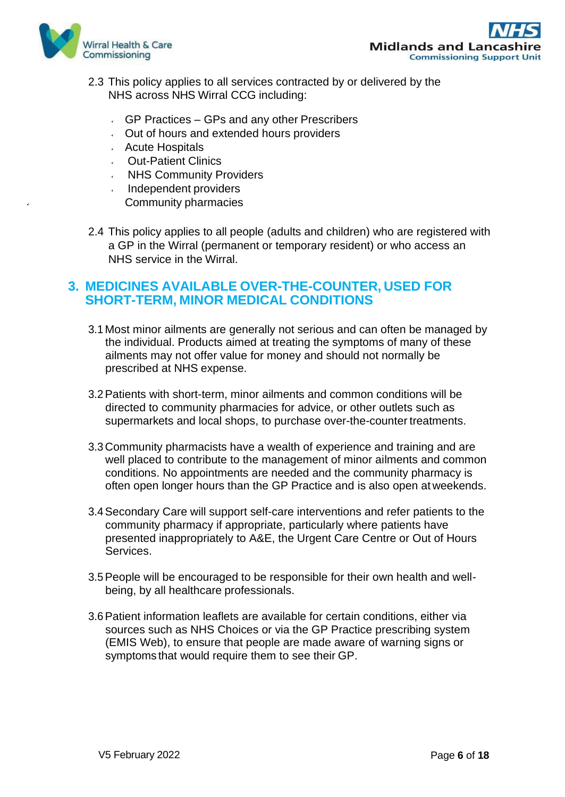

- 2.3 This policy applies to all services contracted by or delivered by the NHS across NHS Wirral CCG including:
	- $\cdot$  GP Practices GPs and any other Prescribers
	- Out of hours and extended hours providers
	- Acute Hospitals
	- Out-Patient Clinics
	- NHS Community Providers
	- Independent providers Community pharmacies
- 2.4 This policy applies to all people (adults and children) who are registered with a GP in the Wirral (permanent or temporary resident) or who access an NHS service in the Wirral.

#### **3. MEDICINES AVAILABLE OVER-THE-COUNTER, USED FOR SHORT-TERM, MINOR MEDICAL CONDITIONS**

- 3.1 Most minor ailments are generally not serious and can often be managed by the individual. Products aimed at treating the symptoms of many of these ailments may not offer value for money and should not normally be prescribed at NHS expense.
- 3.2Patients with short-term, minor ailments and common conditions will be directed to community pharmacies for advice, or other outlets such as supermarkets and local shops, to purchase over-the-counter treatments.
- 3.3 Community pharmacists have a wealth of experience and training and are well placed to contribute to the management of minor ailments and common conditions. No appointments are needed and the community pharmacy is often open longer hours than the GP Practice and is also open at weekends.
- 3.4Secondary Care will support self-care interventions and refer patients to the community pharmacy if appropriate, particularly where patients have presented inappropriately to A&E, the Urgent Care Centre or Out of Hours Services.
- 3.5People will be encouraged to be responsible for their own health and wellbeing, by all healthcare professionals.
- 3.6Patient information leaflets are available for certain conditions, either via sources such as NHS Choices or via the GP Practice prescribing system (EMIS Web), to ensure that people are made aware of warning signs or symptoms that would require them to see their GP.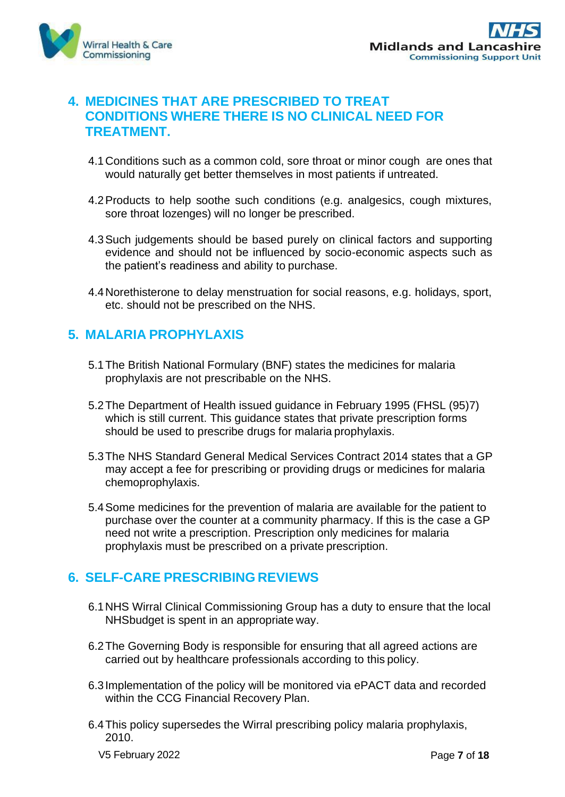



### **4. MEDICINES THAT ARE PRESCRIBED TO TREAT CONDITIONS WHERE THERE IS NO CLINICAL NEED FOR TREATMENT.**

- 4.1Conditions such as a common cold, sore throat or minor cough are ones that would naturally get better themselves in most patients if untreated.
- 4.2Products to help soothe such conditions (e.g. analgesics, cough mixtures, sore throat lozenges) will no longer be prescribed.
- 4.3Such judgements should be based purely on clinical factors and supporting evidence and should not be influenced by socio-economic aspects such as the patient's readiness and ability to purchase.
- 4.4Norethisterone to delay menstruation for social reasons, e.g. holidays, sport, etc. should not be prescribed on the NHS.

### **5. MALARIA PROPHYLAXIS**

- 5.1The British National Formulary (BNF) states the medicines for malaria prophylaxis are not prescribable on the NHS.
- 5.2The Department of Health issued guidance in February 1995 (FHSL (95)7) which is still current. This guidance states that private prescription forms should be used to prescribe drugs for malaria prophylaxis.
- 5.3The NHS Standard General Medical Services Contract 2014 states that a GP may accept a fee for prescribing or providing drugs or medicines for malaria chemoprophylaxis.
- 5.4Some medicines for the prevention of malaria are available for the patient to purchase over the counter at a community pharmacy. If this is the case a GP need not write a prescription. Prescription only medicines for malaria prophylaxis must be prescribed on a private prescription.

## **6. SELF-CARE PRESCRIBING REVIEWS**

- 6.1NHS Wirral Clinical Commissioning Group has a duty to ensure that the local NHSbudget is spent in an appropriate way.
- 6.2The Governing Body is responsible for ensuring that all agreed actions are carried out by healthcare professionals according to this policy.
- 6.3Implementation of the policy will be monitored via ePACT data and recorded within the CCG Financial Recovery Plan.
- 6.4This policy supersedes the Wirral prescribing policy malaria prophylaxis, 2010.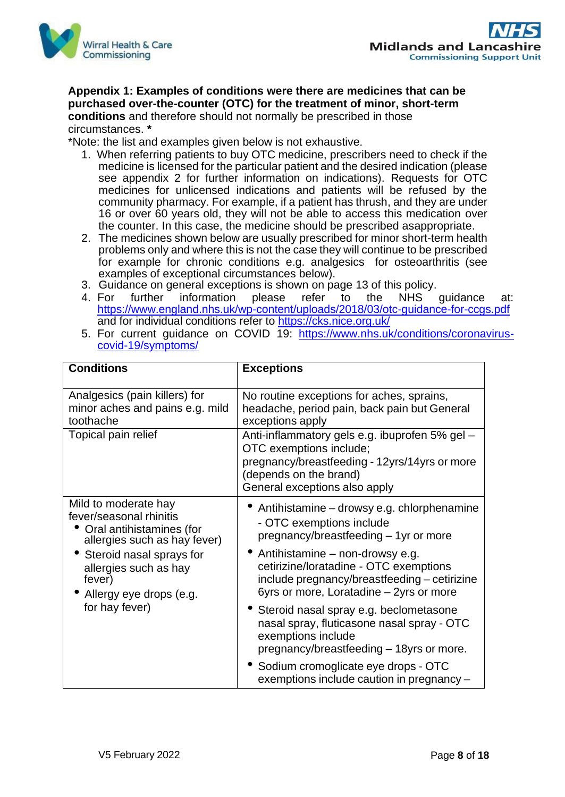

#### **Appendix 1: Examples of conditions were there are medicines that can be purchased over-the-counter (OTC) for the treatment of minor, short-term**

**conditions** and therefore should not normally be prescribed in those circumstances. **\***

\*Note: the list and examples given below is not exhaustive.

- 1. When referring patients to buy OTC medicine, prescribers need to check if the medicine is licensed for the particular patient and the desired indication (please see appendix 2 for further information on indications). Requests for OTC medicines for unlicensed indications and patients will be refused by the community pharmacy. For example, if a patient has thrush, and they are under 16 or over 60 years old, they will not be able to access this medication over the counter. In this case, the medicine should be prescribed asappropriate.
- 2. The medicines shown below are usually prescribed for minor short-term health problems only and where this is not the case they will continue to be prescribed for example for chronic conditions e.g. analgesics for osteoarthritis (see examples of exceptional circumstances below).
- 3. Guidance on general exceptions is shown on page 13 of this policy.
- 4. For further information please refer to the NHS guidance at: <https://www.england.nhs.uk/wp-content/uploads/2018/03/otc-guidance-for-ccgs.pdf> and for individual conditions refer to<https://cks.nice.org.uk/>
- 5. For current guidance on COVID 19: [https://www.nhs.uk/conditions/coronavirus](https://www.nhs.uk/conditions/coronavirus-covid-19/symptoms/)[covid-19/symptoms/](https://www.nhs.uk/conditions/coronavirus-covid-19/symptoms/)

| <b>Conditions</b>                                                                                                                                                                                                       | <b>Exceptions</b>                                                                                                                                                                                                                                                                                                                                                                                                                                                                                                                         |
|-------------------------------------------------------------------------------------------------------------------------------------------------------------------------------------------------------------------------|-------------------------------------------------------------------------------------------------------------------------------------------------------------------------------------------------------------------------------------------------------------------------------------------------------------------------------------------------------------------------------------------------------------------------------------------------------------------------------------------------------------------------------------------|
| Analgesics (pain killers) for<br>minor aches and pains e.g. mild<br>toothache<br>Topical pain relief                                                                                                                    | No routine exceptions for aches, sprains,<br>headache, period pain, back pain but General<br>exceptions apply<br>Anti-inflammatory gels e.g. ibuprofen 5% gel -<br>OTC exemptions include;<br>pregnancy/breastfeeding - 12yrs/14yrs or more<br>(depends on the brand)<br>General exceptions also apply                                                                                                                                                                                                                                    |
| Mild to moderate hay<br>fever/seasonal rhinitis<br>Oral antihistamines (for<br>allergies such as hay fever)<br>Steroid nasal sprays for<br>allergies such as hay<br>fever)<br>Allergy eye drops (e.g.<br>for hay fever) | • Antihistamine – drowsy e.g. chlorphenamine<br>- OTC exemptions include<br>pregnancy/breastfeeding - 1yr or more<br>• Antihistamine – non-drowsy e.g.<br>cetirizine/loratadine - OTC exemptions<br>include pregnancy/breastfeeding - cetirizine<br>6yrs or more, Loratadine - 2yrs or more<br>Steroid nasal spray e.g. beclometasone<br>nasal spray, fluticasone nasal spray - OTC<br>exemptions include<br>pregnancy/breastfeeding - 18yrs or more.<br>Sodium cromoglicate eye drops - OTC<br>exemptions include caution in pregnancy - |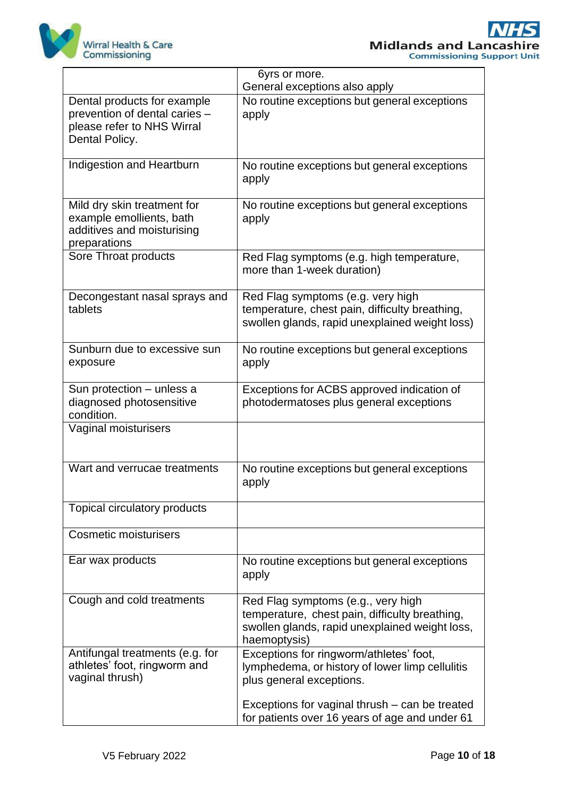

|                                                                                                              | byrs or more.<br>General exceptions also apply                                                                                                         |
|--------------------------------------------------------------------------------------------------------------|--------------------------------------------------------------------------------------------------------------------------------------------------------|
| Dental products for example<br>prevention of dental caries -<br>please refer to NHS Wirral<br>Dental Policy. | No routine exceptions but general exceptions<br>apply                                                                                                  |
| Indigestion and Heartburn                                                                                    | No routine exceptions but general exceptions<br>apply                                                                                                  |
| Mild dry skin treatment for<br>example emollients, bath<br>additives and moisturising<br>preparations        | No routine exceptions but general exceptions<br>apply                                                                                                  |
| Sore Throat products                                                                                         | Red Flag symptoms (e.g. high temperature,<br>more than 1-week duration)                                                                                |
| Decongestant nasal sprays and<br>tablets                                                                     | Red Flag symptoms (e.g. very high<br>temperature, chest pain, difficulty breathing,<br>swollen glands, rapid unexplained weight loss)                  |
| Sunburn due to excessive sun<br>exposure                                                                     | No routine exceptions but general exceptions<br>apply                                                                                                  |
| Sun protection - unless a<br>diagnosed photosensitive<br>condition.                                          | Exceptions for ACBS approved indication of<br>photodermatoses plus general exceptions                                                                  |
| Vaginal moisturisers                                                                                         |                                                                                                                                                        |
| Wart and verrucae treatments                                                                                 | No routine exceptions but general exceptions<br>apply                                                                                                  |
| Topical circulatory products                                                                                 |                                                                                                                                                        |
| <b>Cosmetic moisturisers</b>                                                                                 |                                                                                                                                                        |
| Ear wax products                                                                                             | No routine exceptions but general exceptions<br>apply                                                                                                  |
| Cough and cold treatments                                                                                    | Red Flag symptoms (e.g., very high<br>temperature, chest pain, difficulty breathing,<br>swollen glands, rapid unexplained weight loss,<br>haemoptysis) |
| Antifungal treatments (e.g. for<br>athletes' foot, ringworm and<br>vaginal thrush)                           | Exceptions for ringworm/athletes' foot,<br>lymphedema, or history of lower limp cellulitis<br>plus general exceptions.                                 |
|                                                                                                              | Exceptions for vaginal thrush – can be treated<br>for patients over 16 years of age and under 61                                                       |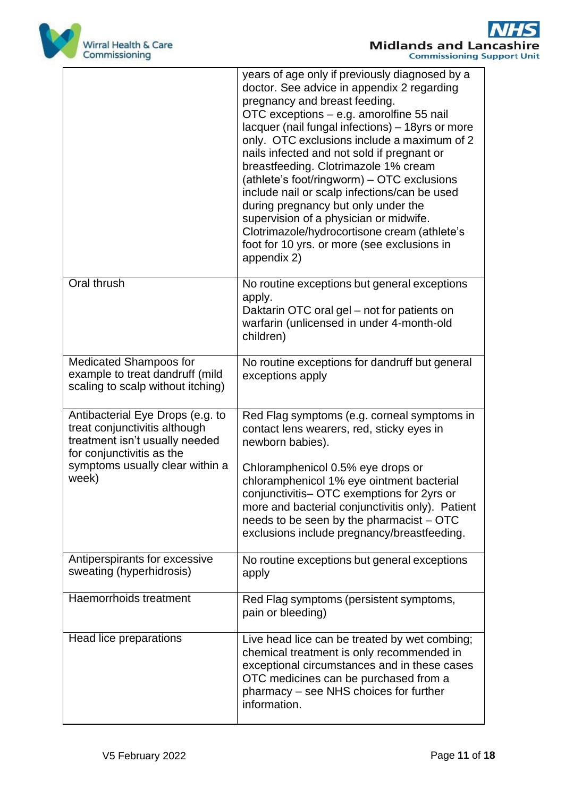

|                                                                                                                                                                              | years of age only if previously diagnosed by a<br>doctor. See advice in appendix 2 regarding<br>pregnancy and breast feeding.<br>OTC exceptions - e.g. amorolfine 55 nail<br>lacquer (nail fungal infections) - 18yrs or more<br>only. OTC exclusions include a maximum of 2<br>nails infected and not sold if pregnant or<br>breastfeeding. Clotrimazole 1% cream<br>(athlete's foot/ringworm) - OTC exclusions<br>include nail or scalp infections/can be used<br>during pregnancy but only under the<br>supervision of a physician or midwife.<br>Clotrimazole/hydrocortisone cream (athlete's<br>foot for 10 yrs. or more (see exclusions in<br>appendix 2) |
|------------------------------------------------------------------------------------------------------------------------------------------------------------------------------|-----------------------------------------------------------------------------------------------------------------------------------------------------------------------------------------------------------------------------------------------------------------------------------------------------------------------------------------------------------------------------------------------------------------------------------------------------------------------------------------------------------------------------------------------------------------------------------------------------------------------------------------------------------------|
| Oral thrush                                                                                                                                                                  | No routine exceptions but general exceptions<br>apply.<br>Daktarin OTC oral gel - not for patients on<br>warfarin (unlicensed in under 4-month-old<br>children)                                                                                                                                                                                                                                                                                                                                                                                                                                                                                                 |
| <b>Medicated Shampoos for</b><br>example to treat dandruff (mild<br>scaling to scalp without itching)                                                                        | No routine exceptions for dandruff but general<br>exceptions apply                                                                                                                                                                                                                                                                                                                                                                                                                                                                                                                                                                                              |
| Antibacterial Eye Drops (e.g. to<br>treat conjunctivitis although<br>treatment isn't usually needed<br>for conjunctivitis as the<br>symptoms usually clear within a<br>week) | Red Flag symptoms (e.g. corneal symptoms in<br>contact lens wearers, red, sticky eyes in<br>newborn babies).<br>Chloramphenicol 0.5% eye drops or<br>chloramphenicol 1% eye ointment bacterial<br>conjunctivitis- OTC exemptions for 2yrs or<br>more and bacterial conjunctivitis only). Patient<br>needs to be seen by the pharmacist – OTC<br>exclusions include pregnancy/breastfeeding.                                                                                                                                                                                                                                                                     |
| Antiperspirants for excessive<br>sweating (hyperhidrosis)                                                                                                                    | No routine exceptions but general exceptions<br>apply                                                                                                                                                                                                                                                                                                                                                                                                                                                                                                                                                                                                           |
| Haemorrhoids treatment                                                                                                                                                       | Red Flag symptoms (persistent symptoms,<br>pain or bleeding)                                                                                                                                                                                                                                                                                                                                                                                                                                                                                                                                                                                                    |
| Head lice preparations                                                                                                                                                       | Live head lice can be treated by wet combing;<br>chemical treatment is only recommended in<br>exceptional circumstances and in these cases<br>OTC medicines can be purchased from a<br>pharmacy - see NHS choices for further<br>information.                                                                                                                                                                                                                                                                                                                                                                                                                   |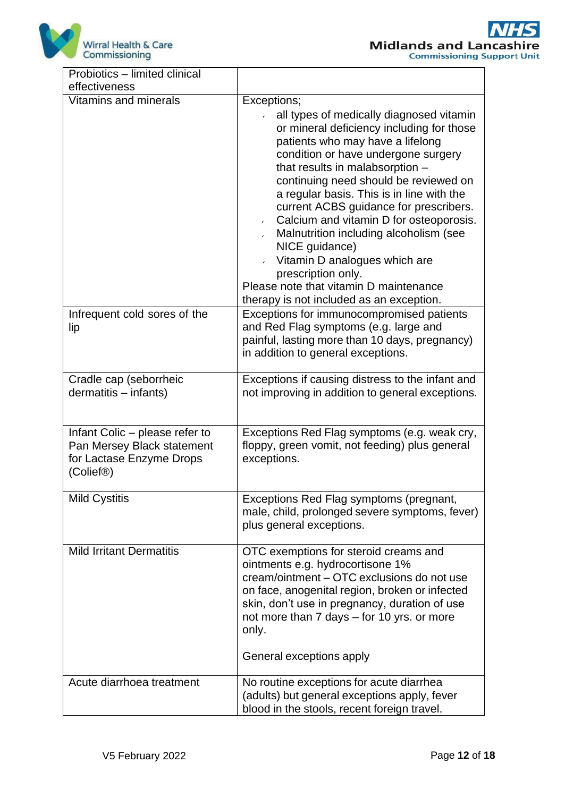

| Probiotics – limited clinical<br>effectiveness                                                        |                                                                                                                                                                                                                                                                                                                                                                                                                                                                                                                                                                                                              |
|-------------------------------------------------------------------------------------------------------|--------------------------------------------------------------------------------------------------------------------------------------------------------------------------------------------------------------------------------------------------------------------------------------------------------------------------------------------------------------------------------------------------------------------------------------------------------------------------------------------------------------------------------------------------------------------------------------------------------------|
| <b>Vitamins and minerals</b>                                                                          | Exceptions;<br>all types of medically diagnosed vitamin<br>or mineral deficiency including for those<br>patients who may have a lifelong<br>condition or have undergone surgery<br>that results in malabsorption -<br>continuing need should be reviewed on<br>a regular basis. This is in line with the<br>current ACBS guidance for prescribers.<br>Calcium and vitamin D for osteoporosis.<br>¥.<br>Malnutrition including alcoholism (see<br>NICE guidance)<br>Vitamin D analogues which are<br>prescription only.<br>Please note that vitamin D maintenance<br>therapy is not included as an exception. |
| Infrequent cold sores of the<br>lip                                                                   | Exceptions for immunocompromised patients<br>and Red Flag symptoms (e.g. large and<br>painful, lasting more than 10 days, pregnancy)<br>in addition to general exceptions.                                                                                                                                                                                                                                                                                                                                                                                                                                   |
| Cradle cap (seborrheic<br>$d$ ermatitis $-$ infants)                                                  | Exceptions if causing distress to the infant and<br>not improving in addition to general exceptions.                                                                                                                                                                                                                                                                                                                                                                                                                                                                                                         |
| Infant Colic – please refer to<br>Pan Mersey Black statement<br>for Lactase Enzyme Drops<br>(Colief®) | Exceptions Red Flag symptoms (e.g. weak cry,<br>floppy, green vomit, not feeding) plus general<br>exceptions.                                                                                                                                                                                                                                                                                                                                                                                                                                                                                                |
| <b>Mild Cystitis</b>                                                                                  | Exceptions Red Flag symptoms (pregnant,<br>male, child, prolonged severe symptoms, fever)<br>plus general exceptions.                                                                                                                                                                                                                                                                                                                                                                                                                                                                                        |
| <b>Mild Irritant Dermatitis</b>                                                                       | OTC exemptions for steroid creams and<br>ointments e.g. hydrocortisone 1%<br>cream/ointment – OTC exclusions do not use<br>on face, anogenital region, broken or infected<br>skin, don't use in pregnancy, duration of use<br>not more than 7 days – for 10 yrs. or more<br>only.<br>General exceptions apply                                                                                                                                                                                                                                                                                                |
| Acute diarrhoea treatment                                                                             | No routine exceptions for acute diarrhea<br>(adults) but general exceptions apply, fever<br>blood in the stools, recent foreign travel.                                                                                                                                                                                                                                                                                                                                                                                                                                                                      |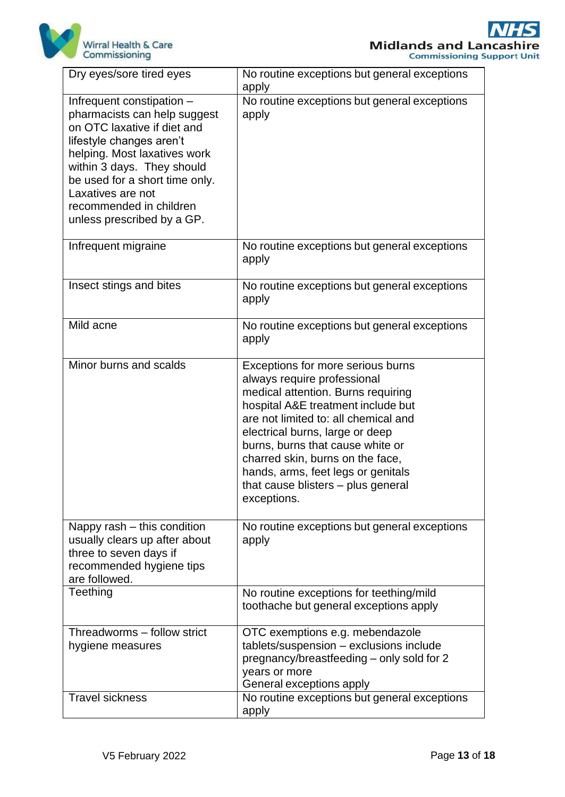

| Dry eyes/sore tired eyes                                                                                                                                                                                                                                                                           | No routine exceptions but general exceptions<br>apply                                                                                                                                                                                                                                                                                                                                      |
|----------------------------------------------------------------------------------------------------------------------------------------------------------------------------------------------------------------------------------------------------------------------------------------------------|--------------------------------------------------------------------------------------------------------------------------------------------------------------------------------------------------------------------------------------------------------------------------------------------------------------------------------------------------------------------------------------------|
| Infrequent constipation -<br>pharmacists can help suggest<br>on OTC laxative if diet and<br>lifestyle changes aren't<br>helping. Most laxatives work<br>within 3 days. They should<br>be used for a short time only.<br>Laxatives are not<br>recommended in children<br>unless prescribed by a GP. | No routine exceptions but general exceptions<br>apply                                                                                                                                                                                                                                                                                                                                      |
| Infrequent migraine                                                                                                                                                                                                                                                                                | No routine exceptions but general exceptions<br>apply                                                                                                                                                                                                                                                                                                                                      |
| Insect stings and bites                                                                                                                                                                                                                                                                            | No routine exceptions but general exceptions<br>apply                                                                                                                                                                                                                                                                                                                                      |
| Mild acne                                                                                                                                                                                                                                                                                          | No routine exceptions but general exceptions<br>apply                                                                                                                                                                                                                                                                                                                                      |
| Minor burns and scalds                                                                                                                                                                                                                                                                             | Exceptions for more serious burns<br>always require professional<br>medical attention. Burns requiring<br>hospital A&E treatment include but<br>are not limited to: all chemical and<br>electrical burns, large or deep<br>burns, burns that cause white or<br>charred skin, burns on the face,<br>hands, arms, feet legs or genitals<br>that cause blisters - plus general<br>exceptions. |
| Nappy rash – this condition<br>usually clears up after about<br>three to seven days if<br>recommended hygiene tips<br>are followed.                                                                                                                                                                | No routine exceptions but general exceptions<br>apply                                                                                                                                                                                                                                                                                                                                      |
| Teething                                                                                                                                                                                                                                                                                           | No routine exceptions for teething/mild<br>toothache but general exceptions apply                                                                                                                                                                                                                                                                                                          |
| Threadworms - follow strict<br>hygiene measures                                                                                                                                                                                                                                                    | OTC exemptions e.g. mebendazole<br>tablets/suspension - exclusions include<br>pregnancy/breastfeeding - only sold for 2<br>years or more<br>General exceptions apply                                                                                                                                                                                                                       |
| <b>Travel sickness</b>                                                                                                                                                                                                                                                                             | No routine exceptions but general exceptions<br>apply                                                                                                                                                                                                                                                                                                                                      |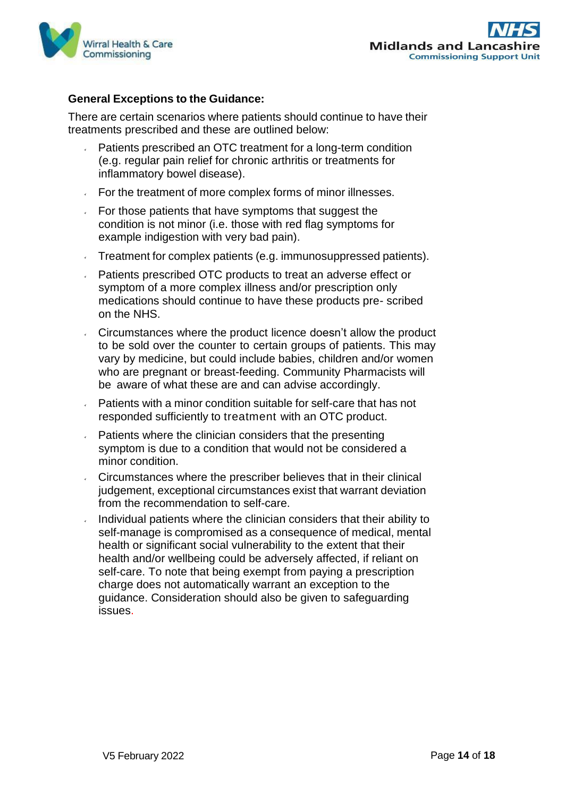



#### **General Exceptions to the Guidance:**

There are certain scenarios where patients should continue to have their treatments prescribed and these are outlined below:

- **Patients prescribed an OTC treatment for a long-term condition** (e.g. regular pain relief for chronic arthritis or treatments for inflammatory bowel disease).
- For the treatment of more complex forms of minor illnesses.
- $\sqrt{5}$  For those patients that have symptoms that suggest the condition is not minor (i.e. those with red flag symptoms for example indigestion with very bad pain).
- Treatment for complex patients (e.g. immunosuppressed patients).
- Patients prescribed OTC products to treat an adverse effect or symptom of a more complex illness and/or prescription only medications should continue to have these products pre- scribed on the NHS.
- Circumstances where the product licence doesn't allow the product to be sold over the counter to certain groups of patients. This may vary by medicine, but could include babies, children and/or women who are pregnant or breast-feeding. Community Pharmacists will be aware of what these are and can advise accordingly.
- Patients with a minor condition suitable for self-care that has not responded sufficiently to treatment with an OTC product.
- **Patients where the clinician considers that the presenting** symptom is due to a condition that would not be considered a minor condition.
- Circumstances where the prescriber believes that in their clinical judgement, exceptional circumstances exist that warrant deviation from the recommendation to self-care.
- Individual patients where the clinician considers that their ability to self-manage is compromised as a consequence of medical, mental health or significant social vulnerability to the extent that their health and/or wellbeing could be adversely affected, if reliant on self-care. To note that being exempt from paying a prescription charge does not automatically warrant an exception to the guidance. Consideration should also be given to safeguarding issues.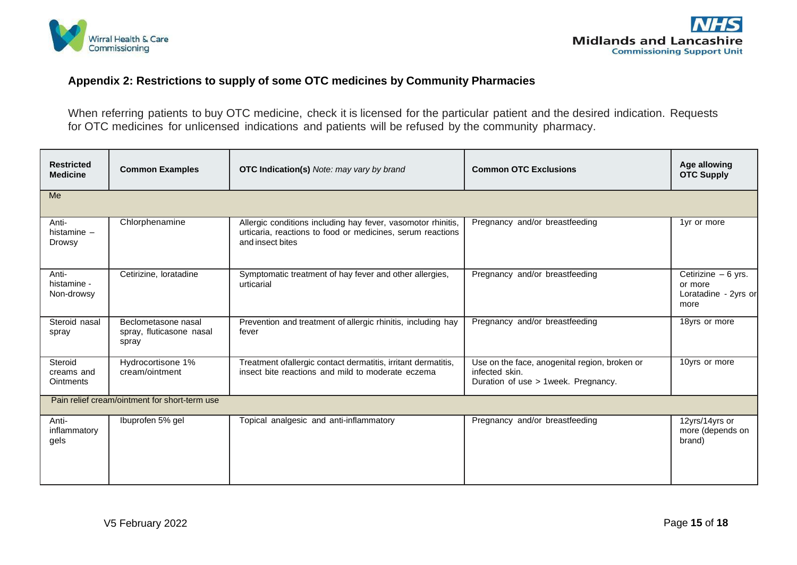



#### **Appendix 2: Restrictions to supply of some OTC medicines by Community Pharmacies**

When referring patients to buy OTC medicine, check it is licensed for the particular patient and the desired indication. Requests for OTC medicines for unlicensed indications and patients will be refused by the community pharmacy.

| <b>Restricted</b><br><b>Medicine</b>      | <b>Common Examples</b>                                   | <b>OTC Indication(s)</b> Note: may vary by brand                                                                                               | <b>Common OTC Exclusions</b>                                                                           | Age allowing<br><b>OTC Supply</b>                               |
|-------------------------------------------|----------------------------------------------------------|------------------------------------------------------------------------------------------------------------------------------------------------|--------------------------------------------------------------------------------------------------------|-----------------------------------------------------------------|
| Me                                        |                                                          |                                                                                                                                                |                                                                                                        |                                                                 |
| Anti-<br>histamine -<br>Drowsy            | Chlorphenamine                                           | Allergic conditions including hay fever, vasomotor rhinitis,<br>urticaria, reactions to food or medicines, serum reactions<br>and insect bites | Pregnancy and/or breastfeeding                                                                         | 1yr or more                                                     |
| Anti-<br>histamine -<br>Non-drowsy        | Cetirizine, loratadine                                   | Symptomatic treatment of hay fever and other allergies,<br>urticarial                                                                          | Pregnancy and/or breastfeeding                                                                         | Cetirizine $-6$ yrs.<br>or more<br>Loratadine - 2yrs or<br>more |
| Steroid nasal<br>spray                    | Beclometasone nasal<br>spray, fluticasone nasal<br>spray | Prevention and treatment of allergic rhinitis, including hay<br>fever                                                                          | Pregnancy and/or breastfeeding                                                                         | 18yrs or more                                                   |
| Steroid<br>creams and<br><b>Ointments</b> | Hydrocortisone 1%<br>cream/ointment                      | Treatment ofallergic contact dermatitis, irritant dermatitis,<br>insect bite reactions and mild to moderate eczema                             | Use on the face, anogenital region, broken or<br>infected skin.<br>Duration of use > 1week. Pregnancy. | 10yrs or more                                                   |
|                                           | Pain relief cream/ointment for short-term use            |                                                                                                                                                |                                                                                                        |                                                                 |
| Anti-<br>inflammatory<br>gels             | Ibuprofen 5% gel                                         | Topical analgesic and anti-inflammatory                                                                                                        | Pregnancy and/or breastfeeding                                                                         | 12yrs/14yrs or<br>more (depends on<br>brand)                    |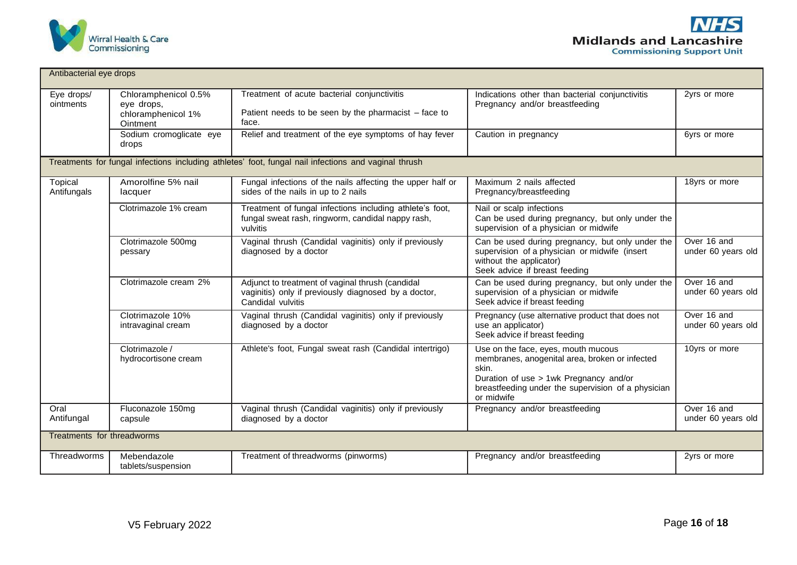



| Antibacterial eye drops |                                                                      |                                                                                                                               |                                                                                                                                                                                                              |                                   |
|-------------------------|----------------------------------------------------------------------|-------------------------------------------------------------------------------------------------------------------------------|--------------------------------------------------------------------------------------------------------------------------------------------------------------------------------------------------------------|-----------------------------------|
| Eye drops/<br>ointments | Chloramphenicol 0.5%<br>eye drops,<br>chloramphenicol 1%<br>Ointment | Treatment of acute bacterial conjunctivitis<br>Patient needs to be seen by the pharmacist - face to<br>face.                  | Indications other than bacterial conjunctivitis<br>Pregnancy and/or breastfeeding                                                                                                                            | 2yrs or more                      |
|                         | Sodium cromoglicate eye<br>drops                                     | Relief and treatment of the eye symptoms of hay fever                                                                         | Caution in pregnancy                                                                                                                                                                                         | 6yrs or more                      |
|                         |                                                                      | Treatments for fungal infections including athletes' foot, fungal nail infections and vaginal thrush                          |                                                                                                                                                                                                              |                                   |
| Topical<br>Antifungals  | Amorolfine 5% nail<br>lacquer                                        | Fungal infections of the nails affecting the upper half or<br>sides of the nails in up to 2 nails                             | Maximum 2 nails affected<br>Pregnancy/breastfeeding                                                                                                                                                          | 18yrs or more                     |
|                         | Clotrimazole 1% cream                                                | Treatment of fungal infections including athlete's foot,<br>fungal sweat rash, ringworm, candidal nappy rash,<br>vulvitis     | Nail or scalp infections<br>Can be used during pregnancy, but only under the<br>supervision of a physician or midwife                                                                                        |                                   |
|                         | Clotrimazole 500mg<br>pessary                                        | Vaginal thrush (Candidal vaginitis) only if previously<br>diagnosed by a doctor                                               | Can be used during pregnancy, but only under the<br>supervision of a physician or midwife (insert<br>without the applicator)<br>Seek advice if breast feeding                                                | Over 16 and<br>under 60 years old |
|                         | Clotrimazole cream 2%                                                | Adjunct to treatment of vaginal thrush (candidal<br>vaginitis) only if previously diagnosed by a doctor,<br>Candidal vulvitis | Can be used during pregnancy, but only under the<br>supervision of a physician or midwife<br>Seek advice if breast feeding                                                                                   | Over 16 and<br>under 60 years old |
|                         | Clotrimazole 10%<br>intravaginal cream                               | Vaginal thrush (Candidal vaginitis) only if previously<br>diagnosed by a doctor                                               | Pregnancy (use alternative product that does not<br>use an applicator)<br>Seek advice if breast feeding                                                                                                      | Over 16 and<br>under 60 years old |
|                         | Clotrimazole /<br>hydrocortisone cream                               | Athlete's foot, Fungal sweat rash (Candidal intertrigo)                                                                       | Use on the face, eyes, mouth mucous<br>membranes, anogenital area, broken or infected<br>skin.<br>Duration of use > 1wk Pregnancy and/or<br>breastfeeding under the supervision of a physician<br>or midwife | 10yrs or more                     |
| Oral<br>Antifungal      | Fluconazole 150mg<br>capsule                                         | Vaginal thrush (Candidal vaginitis) only if previously<br>diagnosed by a doctor                                               | Pregnancy and/or breastfeeding                                                                                                                                                                               | Over 16 and<br>under 60 years old |
|                         | Treatments for threadworms                                           |                                                                                                                               |                                                                                                                                                                                                              |                                   |
| Threadworms             | Mebendazole<br>tablets/suspension                                    | Treatment of threadworms (pinworms)                                                                                           | Pregnancy and/or breastfeeding                                                                                                                                                                               | 2yrs or more                      |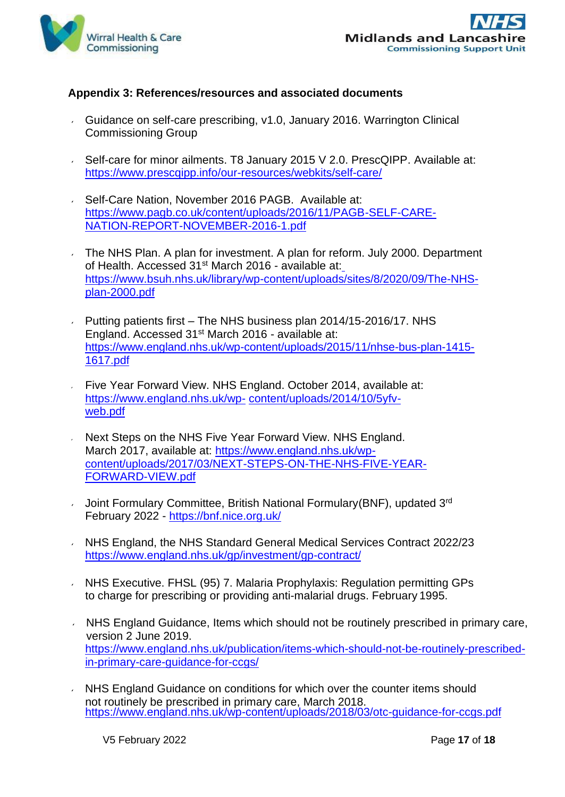



#### **Appendix 3: References/resources and associated documents**

- Guidance on self-care prescribing, v1.0, January 2016. Warrington Clinical Commissioning Group
- Self-care for minor ailments. T8 January 2015 V 2.0. PrescQIPP. Available at: <https://www.prescqipp.info/our-resources/webkits/self-care/>
- Self-Care Nation, November 2016 PAGB. Available at: [https://www.pagb.co.uk/content/uploads/2016/11/PAGB-SELF-CARE-](https://www.pagb.co.uk/content/uploads/2016/11/PAGB-SELF-CARE-NATION-REPORT-NOVEMBER-2016-1.pdf)[NATION-REPORT-NOVEMBER-2016-1.pdf](https://www.pagb.co.uk/content/uploads/2016/11/PAGB-SELF-CARE-NATION-REPORT-NOVEMBER-2016-1.pdf)
- The NHS Plan. A plan for investment. A plan for reform. July 2000. Department of Health. Accessed 31<sup>st</sup> March 2016 - available at: [https://www.bsuh.nhs.uk/library/wp-content/uploads/sites/8/2020/09/The-NHS](https://www.bsuh.nhs.uk/library/wp-content/uploads/sites/8/2020/09/The-NHS-plan-2000.pdf)[plan-2000.pdf](https://www.bsuh.nhs.uk/library/wp-content/uploads/sites/8/2020/09/The-NHS-plan-2000.pdf)
- Putting patients first The NHS business plan 2014/15-2016/17. NHS Ŷ. England. Accessed 31st March 2016 - available at: [https://www.england.nhs.uk/wp-content/uploads/2015/11/nhse-bus-plan-1415-](https://www.england.nhs.uk/wp-content/uploads/2015/11/nhse-bus-plan-1415-1617.pdf) [1617.pdf](https://www.england.nhs.uk/wp-content/uploads/2015/11/nhse-bus-plan-1415-1617.pdf)
- Five Year Forward View. NHS England. October 2014, available at: [https://www.england.nhs.uk/wp-](https://www.england.nhs.uk/wp-content/uploads/2014/10/5yfv-web.pdf) [content/uploads/2014/10/5yfv](https://www.england.nhs.uk/wp-content/uploads/2014/10/5yfv-web.pdf)[web.pdf](https://www.england.nhs.uk/wp-content/uploads/2014/10/5yfv-web.pdf)
- Next Steps on the NHS Five Year Forward View. NHS England. March 2017, available at: [https://www.england.nhs.uk/wp](https://www.england.nhs.uk/wp-content/uploads/2017/03/NEXT-STEPS-ON-THE-NHS-FIVE-YEAR-FORWARD-VIEW.pdf)[content/uploads/2017/03/NEXT-STEPS-ON-THE-NHS-FIVE-YEAR-](https://www.england.nhs.uk/wp-content/uploads/2017/03/NEXT-STEPS-ON-THE-NHS-FIVE-YEAR-FORWARD-VIEW.pdf)[FORWARD-VIEW.pdf](https://www.england.nhs.uk/wp-content/uploads/2017/03/NEXT-STEPS-ON-THE-NHS-FIVE-YEAR-FORWARD-VIEW.pdf)
- Joint Formulary Committee, British National Formulary(BNF), updated 3rd  $\epsilon$ February 2022 - <https://bnf.nice.org.uk/>
- NHS England, the NHS Standard General Medical Services Contract 2022/23  $\mathbf{v}$ <https://www.england.nhs.uk/gp/investment/gp-contract/>
- NHS Executive. FHSL (95) 7. Malaria Prophylaxis: Regulation permitting GPs to charge for prescribing or providing anti-malarial drugs. February 1995.
- NHS England Guidance, Items which should not be routinely prescribed in primary care,  $\epsilon$ version 2 June 2019. [https://www.england.nhs.uk/publication/items-which-should-not-be-routinely-prescribed](https://www.england.nhs.uk/publication/items-which-should-not-be-routinely-prescribed-in-primary-care-guidance-for-ccgs/)[in-primary-care-guidance-for-ccgs/](https://www.england.nhs.uk/publication/items-which-should-not-be-routinely-prescribed-in-primary-care-guidance-for-ccgs/)
- NHS England Guidance on conditions for which over the counter items should not routinely be prescribed in primary care, March 2018. <https://www.england.nhs.uk/wp-content/uploads/2018/03/otc-guidance-for-ccgs.pdf>